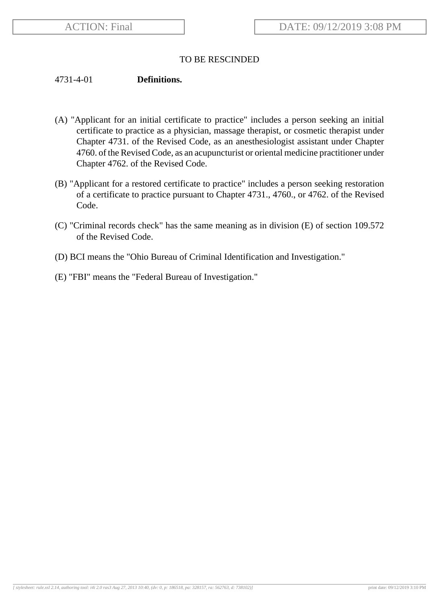## TO BE RESCINDED

## 4731-4-01 **Definitions.**

- (A) "Applicant for an initial certificate to practice" includes a person seeking an initial certificate to practice as a physician, massage therapist, or cosmetic therapist under Chapter 4731. of the Revised Code, as an anesthesiologist assistant under Chapter 4760. of the Revised Code, as an acupuncturist or oriental medicine practitioner under Chapter 4762. of the Revised Code.
- (B) "Applicant for a restored certificate to practice" includes a person seeking restoration of a certificate to practice pursuant to Chapter 4731., 4760., or 4762. of the Revised Code.
- (C) "Criminal records check" has the same meaning as in division (E) of section 109.572 of the Revised Code.
- (D) BCI means the "Ohio Bureau of Criminal Identification and Investigation."
- (E) "FBI" means the "Federal Bureau of Investigation."